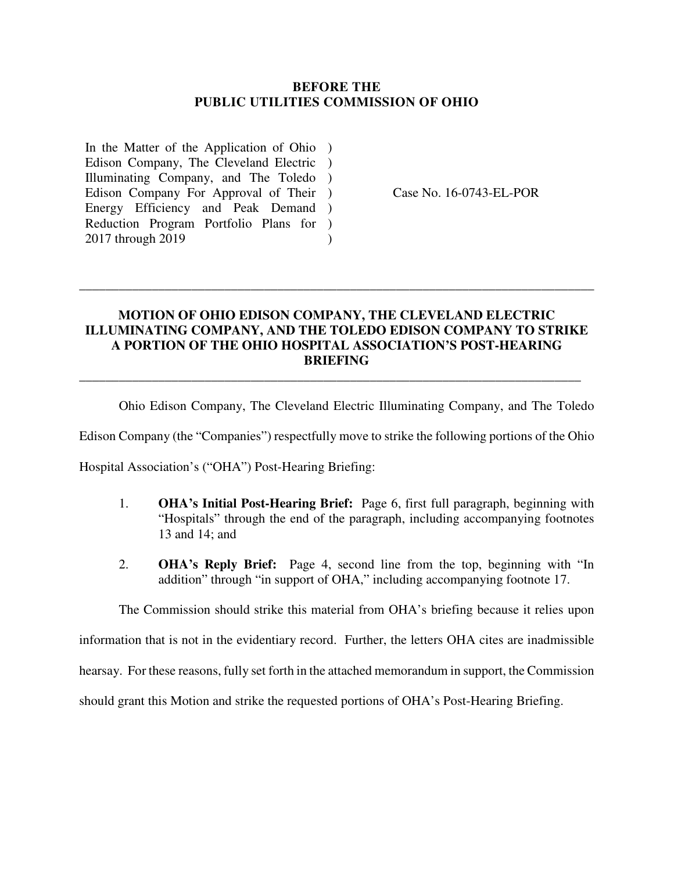#### **BEFORE THE PUBLIC UTILITIES COMMISSION OF OHIO**

In the Matter of the Application of Ohio ) Edison Company, The Cleveland Electric ) Illuminating Company, and The Toledo ) Edison Company For Approval of Their ) Energy Efficiency and Peak Demand ) Reduction Program Portfolio Plans for ) 2017 through 2019  $\lambda$ 

Case No. 16-0743-EL-POR

### **MOTION OF OHIO EDISON COMPANY, THE CLEVELAND ELECTRIC ILLUMINATING COMPANY, AND THE TOLEDO EDISON COMPANY TO STRIKE A PORTION OF THE OHIO HOSPITAL ASSOCIATION'S POST-HEARING BRIEFING**

\_\_\_\_\_\_\_\_\_\_\_\_\_\_\_\_\_\_\_\_\_\_\_\_\_\_\_\_\_\_\_\_\_\_\_\_\_\_\_\_\_\_\_\_\_\_\_\_\_\_\_\_\_\_\_\_\_\_\_\_\_\_\_\_\_\_\_\_\_\_\_\_\_\_\_\_

\_\_\_\_\_\_\_\_\_\_\_\_\_\_\_\_\_\_\_\_\_\_\_\_\_\_\_\_\_\_\_\_\_\_\_\_\_\_\_\_\_\_\_\_\_\_\_\_\_\_\_\_\_\_\_\_\_\_\_\_\_\_\_\_\_\_\_\_\_\_\_\_\_\_\_\_\_\_

Ohio Edison Company, The Cleveland Electric Illuminating Company, and The Toledo

Edison Company (the "Companies") respectfully move to strike the following portions of the Ohio

Hospital Association's ("OHA") Post-Hearing Briefing:

- 1. **OHA's Initial Post-Hearing Brief:** Page 6, first full paragraph, beginning with "Hospitals" through the end of the paragraph, including accompanying footnotes 13 and 14; and
- 2. **OHA's Reply Brief:** Page 4, second line from the top, beginning with "In addition" through "in support of OHA," including accompanying footnote 17.

The Commission should strike this material from OHA's briefing because it relies upon

information that is not in the evidentiary record. Further, the letters OHA cites are inadmissible

hearsay. For these reasons, fully set forth in the attached memorandum in support, the Commission

should grant this Motion and strike the requested portions of OHA's Post-Hearing Briefing.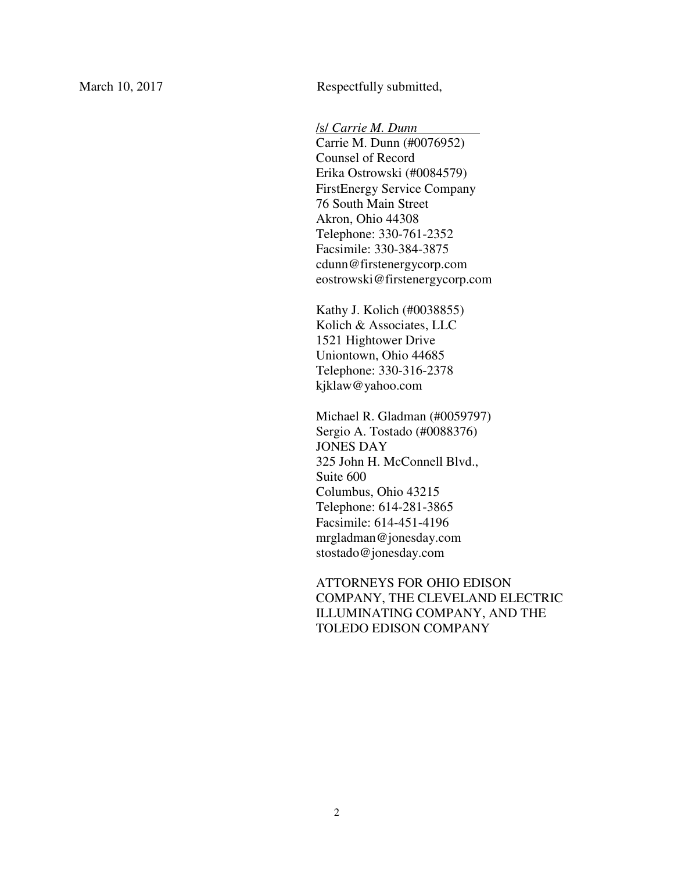March 10, 2017 Respectfully submitted,

/s/ *Carrie M. Dunn* .

Carrie M. Dunn (#0076952) Counsel of Record Erika Ostrowski (#0084579) FirstEnergy Service Company 76 South Main Street Akron, Ohio 44308 Telephone: 330-761-2352 Facsimile: 330-384-3875 cdunn@firstenergycorp.com eostrowski@firstenergycorp.com

Kathy J. Kolich (#0038855) Kolich & Associates, LLC 1521 Hightower Drive Uniontown, Ohio 44685 Telephone: 330-316-2378 kjklaw@yahoo.com

Michael R. Gladman (#0059797) Sergio A. Tostado (#0088376) JONES DAY 325 John H. McConnell Blvd., Suite 600 Columbus, Ohio 43215 Telephone: 614-281-3865 Facsimile: 614-451-4196 mrgladman@jonesday.com stostado@jonesday.com

ATTORNEYS FOR OHIO EDISON COMPANY, THE CLEVELAND ELECTRIC ILLUMINATING COMPANY, AND THE TOLEDO EDISON COMPANY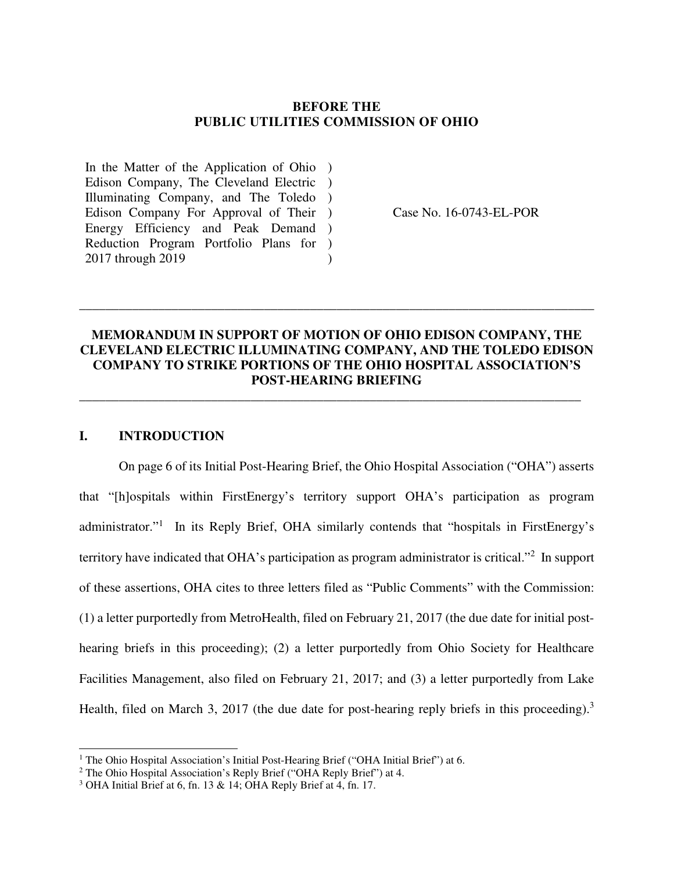#### **BEFORE THE PUBLIC UTILITIES COMMISSION OF OHIO**

In the Matter of the Application of Ohio ) Edison Company, The Cleveland Electric ) Illuminating Company, and The Toledo ) Edison Company For Approval of Their ) Energy Efficiency and Peak Demand ) Reduction Program Portfolio Plans for ) 2017 through 2019  $\lambda$ 

Case No. 16-0743-EL-POR

### **MEMORANDUM IN SUPPORT OF MOTION OF OHIO EDISON COMPANY, THE CLEVELAND ELECTRIC ILLUMINATING COMPANY, AND THE TOLEDO EDISON COMPANY TO STRIKE PORTIONS OF THE OHIO HOSPITAL ASSOCIATION'S POST-HEARING BRIEFING**

\_\_\_\_\_\_\_\_\_\_\_\_\_\_\_\_\_\_\_\_\_\_\_\_\_\_\_\_\_\_\_\_\_\_\_\_\_\_\_\_\_\_\_\_\_\_\_\_\_\_\_\_\_\_\_\_\_\_\_\_\_\_\_\_\_\_\_\_\_\_\_\_\_\_\_\_

\_\_\_\_\_\_\_\_\_\_\_\_\_\_\_\_\_\_\_\_\_\_\_\_\_\_\_\_\_\_\_\_\_\_\_\_\_\_\_\_\_\_\_\_\_\_\_\_\_\_\_\_\_\_\_\_\_\_\_\_\_\_\_\_\_\_\_\_\_\_\_\_\_\_\_\_\_\_

### **I. INTRODUCTION**

j

On page 6 of its Initial Post-Hearing Brief, the Ohio Hospital Association ("OHA") asserts that "[h]ospitals within FirstEnergy's territory support OHA's participation as program administrator."<sup>1</sup> In its Reply Brief, OHA similarly contends that "hospitals in FirstEnergy's territory have indicated that OHA's participation as program administrator is critical."<sup>2</sup> In support of these assertions, OHA cites to three letters filed as "Public Comments" with the Commission: (1) a letter purportedly from MetroHealth, filed on February 21, 2017 (the due date for initial posthearing briefs in this proceeding); (2) a letter purportedly from Ohio Society for Healthcare Facilities Management, also filed on February 21, 2017; and (3) a letter purportedly from Lake Health, filed on March 3, 2017 (the due date for post-hearing reply briefs in this proceeding).<sup>3</sup>

<sup>&</sup>lt;sup>1</sup> The Ohio Hospital Association's Initial Post-Hearing Brief ("OHA Initial Brief") at 6.

<sup>&</sup>lt;sup>2</sup> The Ohio Hospital Association's Reply Brief ("OHA Reply Brief") at 4.

<sup>3</sup> OHA Initial Brief at 6, fn. 13 & 14; OHA Reply Brief at 4, fn. 17.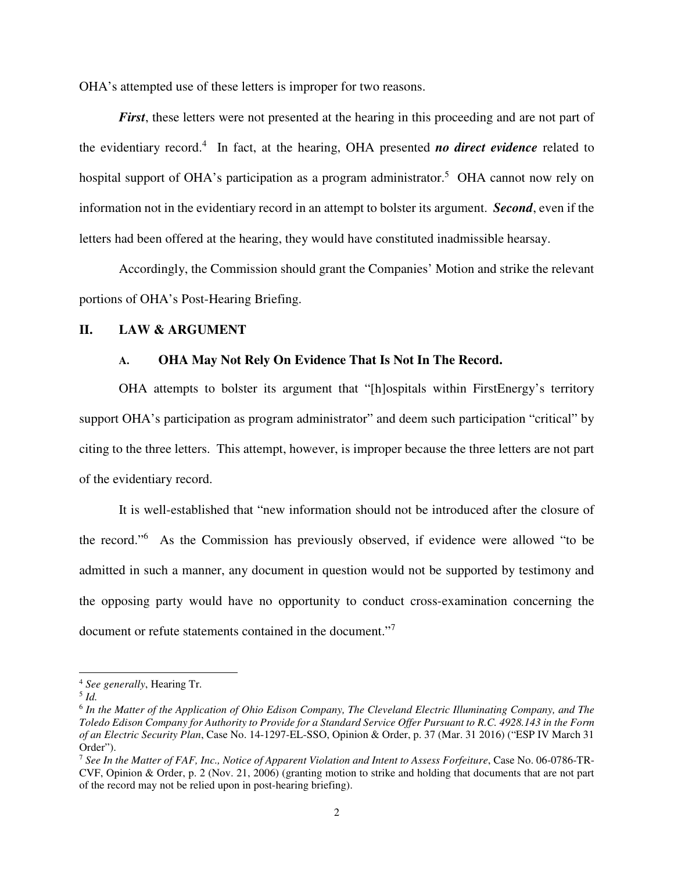OHA's attempted use of these letters is improper for two reasons.

*First*, these letters were not presented at the hearing in this proceeding and are not part of the evidentiary record.<sup>4</sup> In fact, at the hearing, OHA presented *no direct evidence* related to hospital support of OHA's participation as a program administrator.<sup>5</sup> OHA cannot now rely on information not in the evidentiary record in an attempt to bolster its argument. *Second*, even if the letters had been offered at the hearing, they would have constituted inadmissible hearsay.

 Accordingly, the Commission should grant the Companies' Motion and strike the relevant portions of OHA's Post-Hearing Briefing.

#### **II. LAW & ARGUMENT**

#### **A. OHA May Not Rely On Evidence That Is Not In The Record.**

 OHA attempts to bolster its argument that "[h]ospitals within FirstEnergy's territory support OHA's participation as program administrator" and deem such participation "critical" by citing to the three letters. This attempt, however, is improper because the three letters are not part of the evidentiary record.

 It is well-established that "new information should not be introduced after the closure of the record."<sup>6</sup> As the Commission has previously observed, if evidence were allowed "to be admitted in such a manner, any document in question would not be supported by testimony and the opposing party would have no opportunity to conduct cross-examination concerning the document or refute statements contained in the document."<sup>7</sup>

j

<sup>4</sup> *See generally*, Hearing Tr.

<sup>5</sup> *Id.* 

<sup>6</sup> *In the Matter of the Application of Ohio Edison Company, The Cleveland Electric Illuminating Company, and The Toledo Edison Company for Authority to Provide for a Standard Service Offer Pursuant to R.C. 4928.143 in the Form of an Electric Security Plan*, Case No. 14-1297-EL-SSO, Opinion & Order, p. 37 (Mar. 31 2016) ("ESP IV March 31 Order").

<sup>7</sup> *See In the Matter of FAF, Inc., Notice of Apparent Violation and Intent to Assess Forfeiture*, Case No. 06-0786-TR-CVF, Opinion & Order, p. 2 (Nov. 21, 2006) (granting motion to strike and holding that documents that are not part of the record may not be relied upon in post-hearing briefing).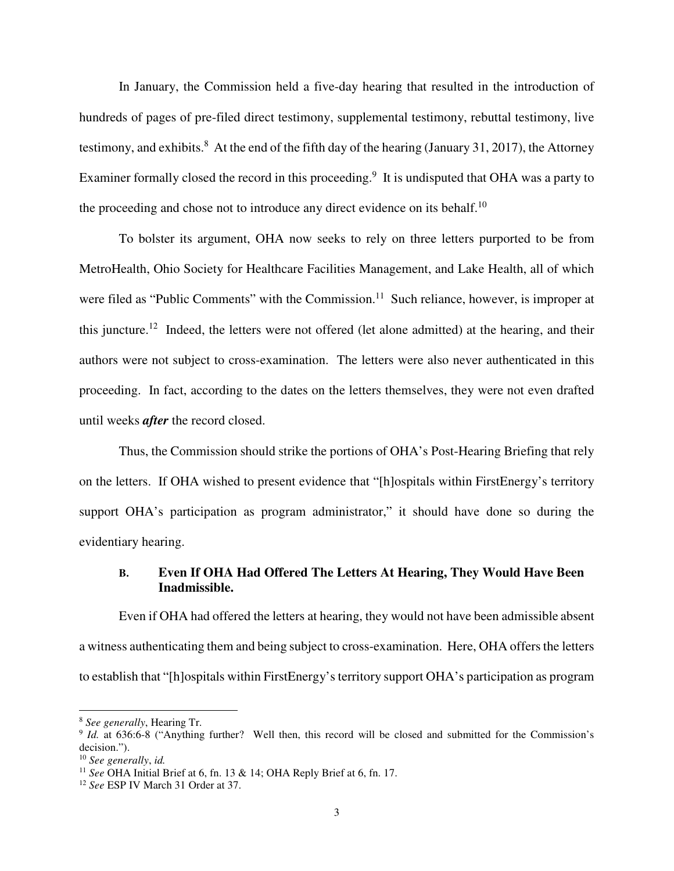In January, the Commission held a five-day hearing that resulted in the introduction of hundreds of pages of pre-filed direct testimony, supplemental testimony, rebuttal testimony, live testimony, and exhibits.<sup>8</sup> At the end of the fifth day of the hearing (January 31, 2017), the Attorney Examiner formally closed the record in this proceeding.<sup>9</sup> It is undisputed that OHA was a party to the proceeding and chose not to introduce any direct evidence on its behalf.<sup>10</sup>

To bolster its argument, OHA now seeks to rely on three letters purported to be from MetroHealth, Ohio Society for Healthcare Facilities Management, and Lake Health, all of which were filed as "Public Comments" with the Commission.<sup>11</sup> Such reliance, however, is improper at this juncture.<sup>12</sup> Indeed, the letters were not offered (let alone admitted) at the hearing, and their authors were not subject to cross-examination. The letters were also never authenticated in this proceeding. In fact, according to the dates on the letters themselves, they were not even drafted until weeks *after* the record closed.

Thus, the Commission should strike the portions of OHA's Post-Hearing Briefing that rely on the letters. If OHA wished to present evidence that "[h]ospitals within FirstEnergy's territory support OHA's participation as program administrator," it should have done so during the evidentiary hearing.

#### **B. Even If OHA Had Offered The Letters At Hearing, They Would Have Been Inadmissible.**

 Even if OHA had offered the letters at hearing, they would not have been admissible absent a witness authenticating them and being subject to cross-examination. Here, OHA offers the letters to establish that "[h]ospitals within FirstEnergy's territory support OHA's participation as program

j

<sup>8</sup> *See generally*, Hearing Tr.

<sup>&</sup>lt;sup>9</sup> *Id.* at 636:6-8 ("Anything further? Well then, this record will be closed and submitted for the Commission's decision.").

<sup>10</sup> *See generally*, *id.* 

<sup>11</sup> *See* OHA Initial Brief at 6, fn. 13 & 14; OHA Reply Brief at 6, fn. 17.

<sup>12</sup> *See* ESP IV March 31 Order at 37.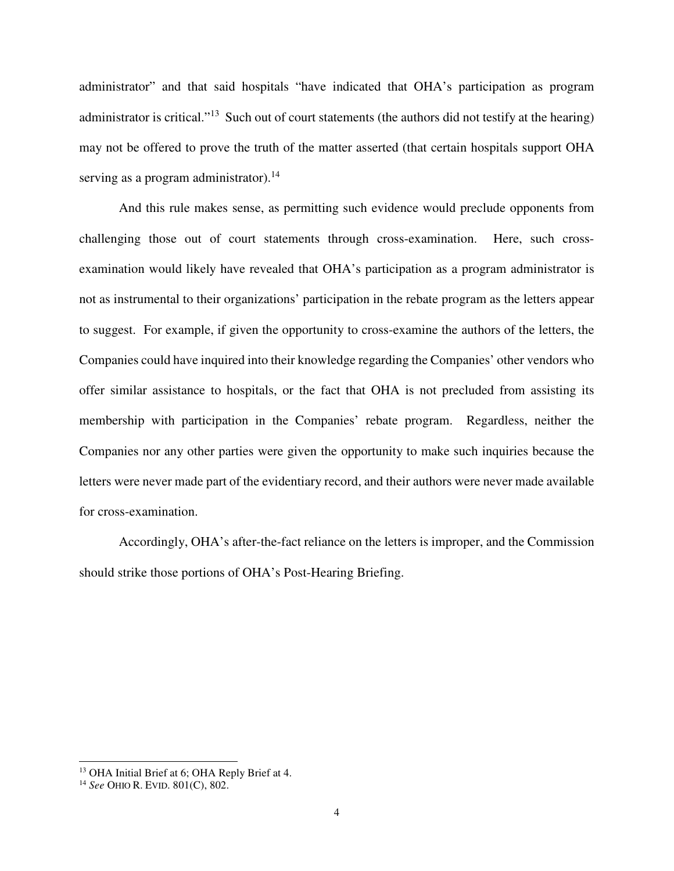administrator" and that said hospitals "have indicated that OHA's participation as program administrator is critical."<sup>13</sup> Such out of court statements (the authors did not testify at the hearing) may not be offered to prove the truth of the matter asserted (that certain hospitals support OHA serving as a program administrator).<sup>14</sup>

 And this rule makes sense, as permitting such evidence would preclude opponents from challenging those out of court statements through cross-examination. Here, such crossexamination would likely have revealed that OHA's participation as a program administrator is not as instrumental to their organizations' participation in the rebate program as the letters appear to suggest. For example, if given the opportunity to cross-examine the authors of the letters, the Companies could have inquired into their knowledge regarding the Companies' other vendors who offer similar assistance to hospitals, or the fact that OHA is not precluded from assisting its membership with participation in the Companies' rebate program. Regardless, neither the Companies nor any other parties were given the opportunity to make such inquiries because the letters were never made part of the evidentiary record, and their authors were never made available for cross-examination.

 Accordingly, OHA's after-the-fact reliance on the letters is improper, and the Commission should strike those portions of OHA's Post-Hearing Briefing.

j

<sup>&</sup>lt;sup>13</sup> OHA Initial Brief at 6; OHA Reply Brief at 4.

<sup>14</sup> *See* OHIO R. EVID. 801(C), 802.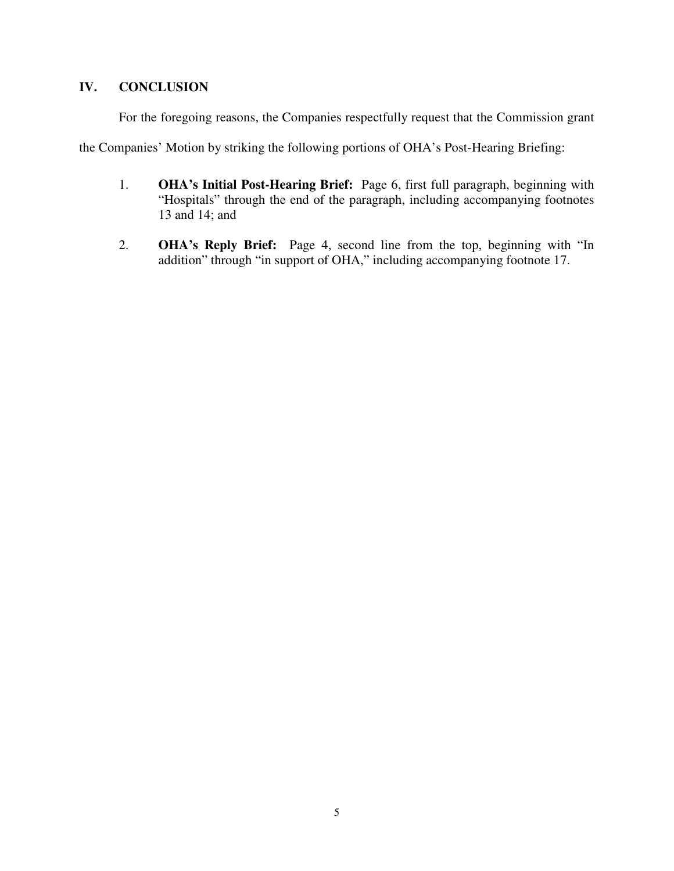### **IV. CONCLUSION**

For the foregoing reasons, the Companies respectfully request that the Commission grant

the Companies' Motion by striking the following portions of OHA's Post-Hearing Briefing:

- 1. **OHA's Initial Post-Hearing Brief:** Page 6, first full paragraph, beginning with "Hospitals" through the end of the paragraph, including accompanying footnotes 13 and 14; and
- 2. **OHA's Reply Brief:** Page 4, second line from the top, beginning with "In addition" through "in support of OHA," including accompanying footnote 17.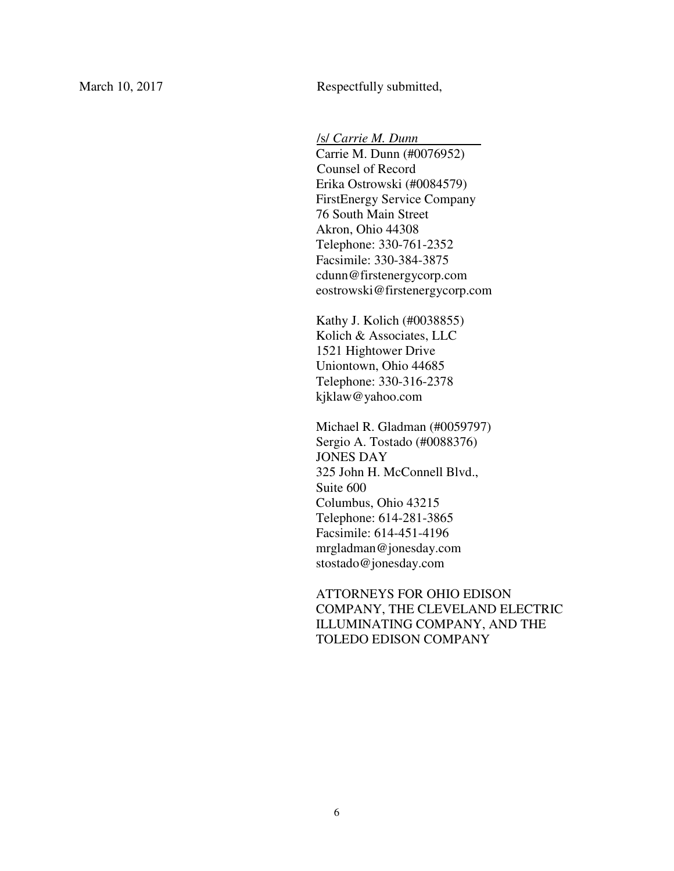March 10, 2017 Respectfully submitted,

/s/ *Carrie M. Dunn* .

Carrie M. Dunn (#0076952) Counsel of Record Erika Ostrowski (#0084579) FirstEnergy Service Company 76 South Main Street Akron, Ohio 44308 Telephone: 330-761-2352 Facsimile: 330-384-3875 cdunn@firstenergycorp.com eostrowski@firstenergycorp.com

Kathy J. Kolich (#0038855) Kolich & Associates, LLC 1521 Hightower Drive Uniontown, Ohio 44685 Telephone: 330-316-2378 kjklaw@yahoo.com

Michael R. Gladman (#0059797) Sergio A. Tostado (#0088376) JONES DAY 325 John H. McConnell Blvd., Suite 600 Columbus, Ohio 43215 Telephone: 614-281-3865 Facsimile: 614-451-4196 mrgladman@jonesday.com stostado@jonesday.com

ATTORNEYS FOR OHIO EDISON COMPANY, THE CLEVELAND ELECTRIC ILLUMINATING COMPANY, AND THE TOLEDO EDISON COMPANY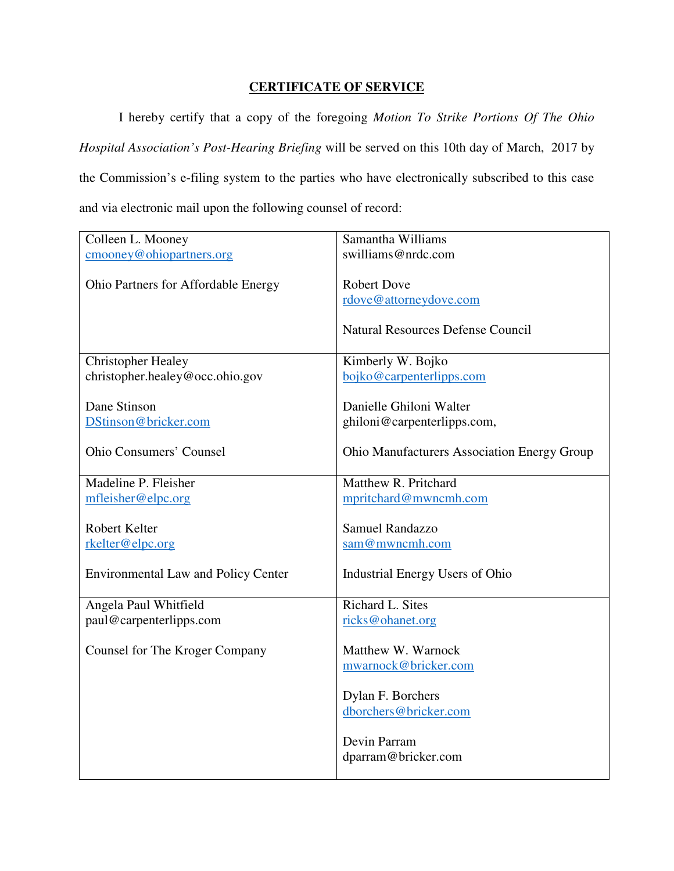# **CERTIFICATE OF SERVICE**

 I hereby certify that a copy of the foregoing *Motion To Strike Portions Of The Ohio Hospital Association's Post-Hearing Briefing* will be served on this 10th day of March, 2017 by the Commission's e-filing system to the parties who have electronically subscribed to this case and via electronic mail upon the following counsel of record:

| Colleen L. Mooney                          | Samantha Williams                                  |
|--------------------------------------------|----------------------------------------------------|
| cmooney@ohiopartners.org                   | swilliams@nrdc.com                                 |
|                                            |                                                    |
| Ohio Partners for Affordable Energy        | <b>Robert Dove</b>                                 |
|                                            | rdove@attorneydove.com                             |
|                                            |                                                    |
|                                            | <b>Natural Resources Defense Council</b>           |
| <b>Christopher Healey</b>                  | Kimberly W. Bojko                                  |
| christopher.healey@occ.ohio.gov            | bojko@carpenterlipps.com                           |
|                                            |                                                    |
| Dane Stinson                               | Danielle Ghiloni Walter                            |
| DStinson@bricker.com                       | ghiloni@carpenterlipps.com,                        |
| <b>Ohio Consumers' Counsel</b>             | <b>Ohio Manufacturers Association Energy Group</b> |
|                                            |                                                    |
| Madeline P. Fleisher                       | Matthew R. Pritchard                               |
| mfleisher@elpc.org                         | mpritchard@mwncmh.com                              |
|                                            |                                                    |
| Robert Kelter                              | <b>Samuel Randazzo</b>                             |
| rkelter@elpc.org                           | sam@mwncmh.com                                     |
|                                            |                                                    |
| <b>Environmental Law and Policy Center</b> | Industrial Energy Users of Ohio                    |
|                                            | Richard L. Sites                                   |
| Angela Paul Whitfield                      |                                                    |
| paul@carpenterlipps.com                    | ricks@ohanet.org                                   |
| Counsel for The Kroger Company             | Matthew W. Warnock                                 |
|                                            | mwarnock@bricker.com                               |
|                                            |                                                    |
|                                            | Dylan F. Borchers                                  |
|                                            | dborchers@bricker.com                              |
|                                            |                                                    |
|                                            | Devin Parram                                       |
|                                            | dparram@bricker.com                                |
|                                            |                                                    |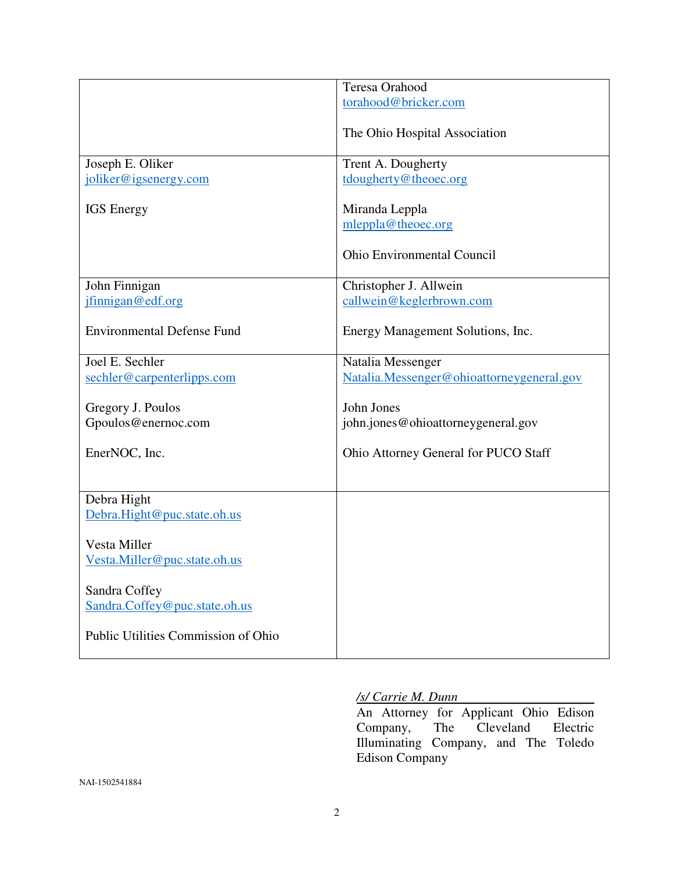|                                     | <b>Teresa Orahood</b>                     |
|-------------------------------------|-------------------------------------------|
|                                     | torahood@bricker.com                      |
|                                     | The Ohio Hospital Association             |
|                                     |                                           |
| Joseph E. Oliker                    | Trent A. Dougherty                        |
| joliker@igsenergy.com               | tdougherty@theoec.org                     |
| <b>IGS</b> Energy                   | Miranda Leppla                            |
|                                     | mleppla@theoec.org                        |
|                                     | <b>Ohio Environmental Council</b>         |
| John Finnigan                       | Christopher J. Allwein                    |
| jfinnigan@edf.org                   | callwein@keglerbrown.com                  |
|                                     |                                           |
| <b>Environmental Defense Fund</b>   | Energy Management Solutions, Inc.         |
| Joel E. Sechler                     | Natalia Messenger                         |
| sechler@carpenterlipps.com          | Natalia.Messenger@ohioattorneygeneral.gov |
|                                     |                                           |
| Gregory J. Poulos                   | John Jones                                |
| Gpoulos@enernoc.com                 | john.jones@ohioattorneygeneral.gov        |
|                                     |                                           |
| EnerNOC, Inc.                       | Ohio Attorney General for PUCO Staff      |
|                                     |                                           |
| Debra Hight                         |                                           |
|                                     |                                           |
| Debra.Hight@puc.state.oh.us         |                                           |
| Vesta Miller                        |                                           |
|                                     |                                           |
| Vesta.Miller@puc.state.oh.us        |                                           |
| Sandra Coffey                       |                                           |
| Sandra.Coffey@puc.state.oh.us       |                                           |
|                                     |                                           |
| Public Utilities Commission of Ohio |                                           |
|                                     |                                           |
|                                     |                                           |

## */s/ Carrie M. Dunn*

An Attorney for Applicant Ohio Edison<br>Company, The Cleveland Electric Company, The Cleveland Electric Illuminating Company, and The Toledo Edison Company